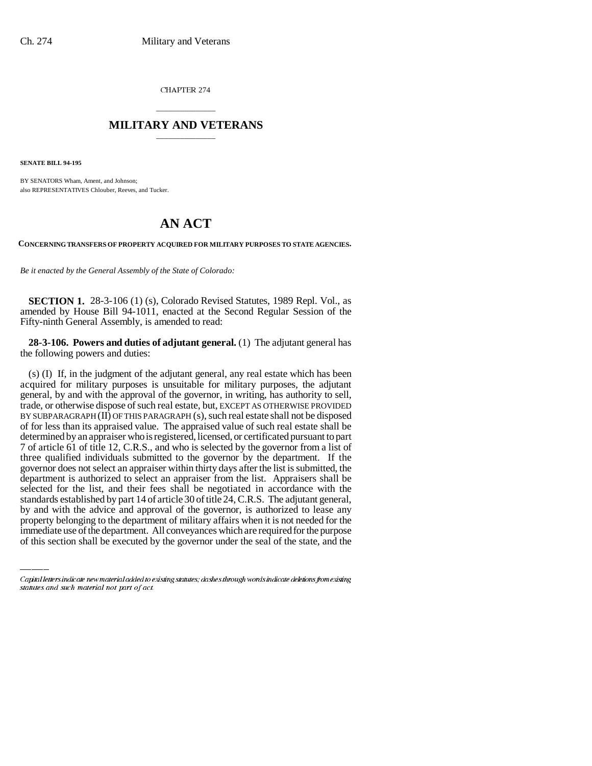CHAPTER 274

## \_\_\_\_\_\_\_\_\_\_\_\_\_\_\_ **MILITARY AND VETERANS** \_\_\_\_\_\_\_\_\_\_\_\_\_\_\_

**SENATE BILL 94-195**

BY SENATORS Wham, Ament, and Johnson; also REPRESENTATIVES Chlouber, Reeves, and Tucker.

## **AN ACT**

**CONCERNING TRANSFERS OF PROPERTY ACQUIRED FOR MILITARY PURPOSES TO STATE AGENCIES.**

*Be it enacted by the General Assembly of the State of Colorado:*

**SECTION 1.** 28-3-106 (1) (s), Colorado Revised Statutes, 1989 Repl. Vol., as amended by House Bill 94-1011, enacted at the Second Regular Session of the Fifty-ninth General Assembly, is amended to read:

**28-3-106. Powers and duties of adjutant general.** (1) The adjutant general has the following powers and duties:

standards established by part 14 of article 30 of title 24, C.R.S. The adjutant general, (s) (I) If, in the judgment of the adjutant general, any real estate which has been acquired for military purposes is unsuitable for military purposes, the adjutant general, by and with the approval of the governor, in writing, has authority to sell, trade, or otherwise dispose of such real estate, but, EXCEPT AS OTHERWISE PROVIDED BY SUBPARAGRAPH (II) OF THIS PARAGRAPH (s), such real estate shall not be disposed of for less than its appraised value. The appraised value of such real estate shall be determined by an appraiser who is registered, licensed, or certificated pursuant to part 7 of article 61 of title 12, C.R.S., and who is selected by the governor from a list of three qualified individuals submitted to the governor by the department. If the governor does not select an appraiser within thirty days after the list is submitted, the department is authorized to select an appraiser from the list. Appraisers shall be selected for the list, and their fees shall be negotiated in accordance with the by and with the advice and approval of the governor, is authorized to lease any property belonging to the department of military affairs when it is not needed for the immediate use of the department. All conveyances which are required for the purpose of this section shall be executed by the governor under the seal of the state, and the

Capital letters indicate new material added to existing statutes; dashes through words indicate deletions from existing statutes and such material not part of act.